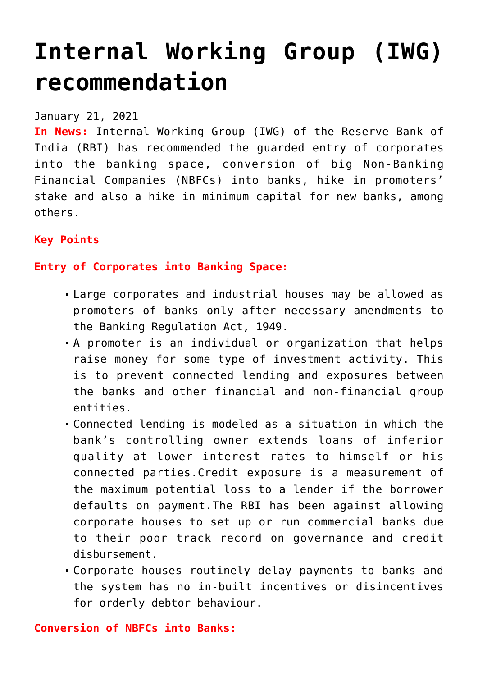# **[Internal Working Group \(IWG\)](https://journalsofindia.com/internal-working-group-iwg-recommendation/) [recommendation](https://journalsofindia.com/internal-working-group-iwg-recommendation/)**

## January 21, 2021

**In News:** Internal Working Group (IWG) of the Reserve Bank of India (RBI) has recommended the guarded entry of corporates into the banking space, conversion of big Non-Banking Financial Companies (NBFCs) into banks, hike in promoters' stake and also a hike in minimum capital for new banks, among others.

# **Key Points**

# **Entry of Corporates into Banking Space:**

- Large corporates and industrial houses may be allowed as promoters of banks only after necessary amendments to the Banking Regulation Act, 1949.
- A promoter is an individual or organization that helps raise money for some type of investment activity. This is to prevent connected lending and exposures between the banks and other financial and non-financial group entities.
- Connected lending is modeled as a situation in which the bank's controlling owner extends loans of inferior quality at lower interest rates to himself or his connected parties.Credit exposure is a measurement of the maximum potential loss to a lender if the borrower defaults on payment.The RBI has been against allowing corporate houses to set up or run commercial banks due to their poor track record on governance and credit disbursement.
- Corporate houses routinely delay payments to banks and the system has no in-built incentives or disincentives for orderly debtor behaviour.

# **Conversion of NBFCs into Banks:**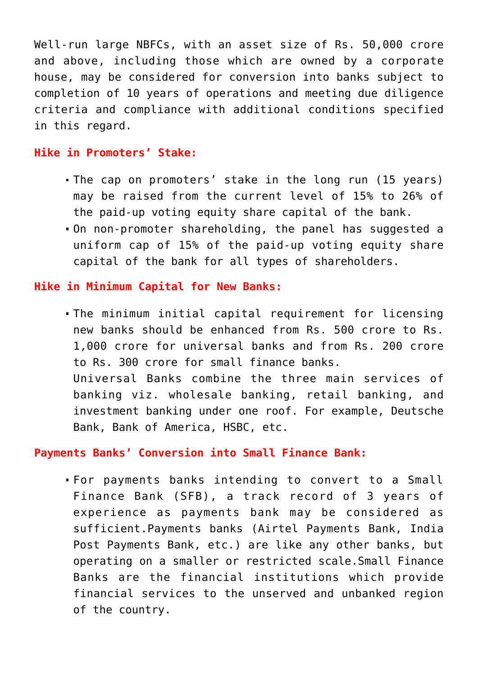Well-run large NBFCs, with an asset size of Rs. 50,000 crore and above, including those which are owned by a corporate house, may be considered for conversion into banks subject to completion of 10 years of operations and meeting due diligence criteria and compliance with additional conditions specified in this regard.

#### **Hike in Promoters' Stake:**

- The cap on promoters' stake in the long run (15 years) may be raised from the current level of 15% to 26% of the paid-up voting equity share capital of the bank.
- On non-promoter shareholding, the panel has suggested a uniform cap of 15% of the paid-up voting equity share capital of the bank for all types of shareholders.

## **Hike in Minimum Capital for New Banks:**

The minimum initial capital requirement for licensing new banks should be enhanced from Rs. 500 crore to Rs. 1,000 crore for universal banks and from Rs. 200 crore to Rs. 300 crore for small finance banks. Universal Banks combine the three main services of banking viz. wholesale banking, retail banking, and investment banking under one roof. For example, Deutsche Bank, Bank of America, HSBC, etc.

**Payments Banks' Conversion into Small Finance Bank:**

For payments banks intending to convert to a Small Finance Bank (SFB), a track record of 3 years of experience as payments bank may be considered as sufficient.Payments banks (Airtel Payments Bank, India Post Payments Bank, etc.) are like any other banks, but operating on a smaller or restricted scale.Small Finance Banks are the financial institutions which provide financial services to the unserved and unbanked region of the country.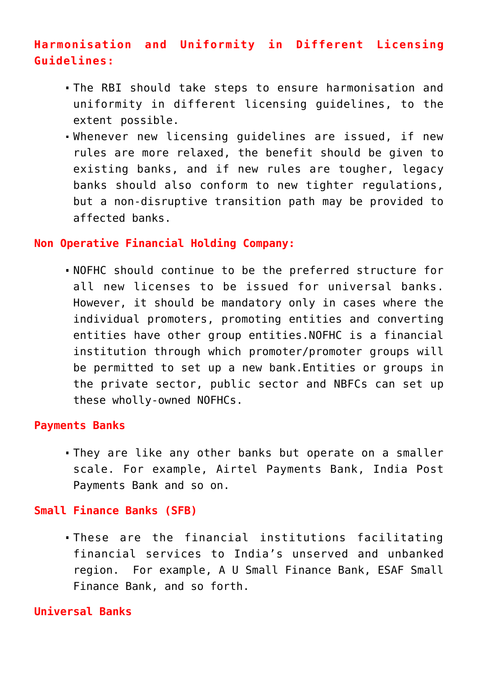# **Harmonisation and Uniformity in Different Licensing Guidelines:**

- The RBI should take steps to ensure harmonisation and uniformity in different licensing guidelines, to the extent possible.
- Whenever new licensing guidelines are issued, if new rules are more relaxed, the benefit should be given to existing banks, and if new rules are tougher, legacy banks should also conform to new tighter regulations, but a non-disruptive transition path may be provided to affected banks.

## **Non Operative Financial Holding Company:**

NOFHC should continue to be the preferred structure for all new licenses to be issued for universal banks. However, it should be mandatory only in cases where the individual promoters, promoting entities and converting entities have other group entities.NOFHC is a financial institution through which promoter/promoter groups will be permitted to set up a new bank.Entities or groups in the private sector, public sector and NBFCs can set up these wholly-owned NOFHCs.

## **Payments Banks**

They are like any other banks but operate on a smaller scale. For example, Airtel Payments Bank, India Post Payments Bank and so on.

## **Small Finance Banks (SFB)**

These are the financial institutions facilitating financial services to India's unserved and unbanked region. For example, A U Small Finance Bank, ESAF Small Finance Bank, and so forth.

# **Universal Banks**